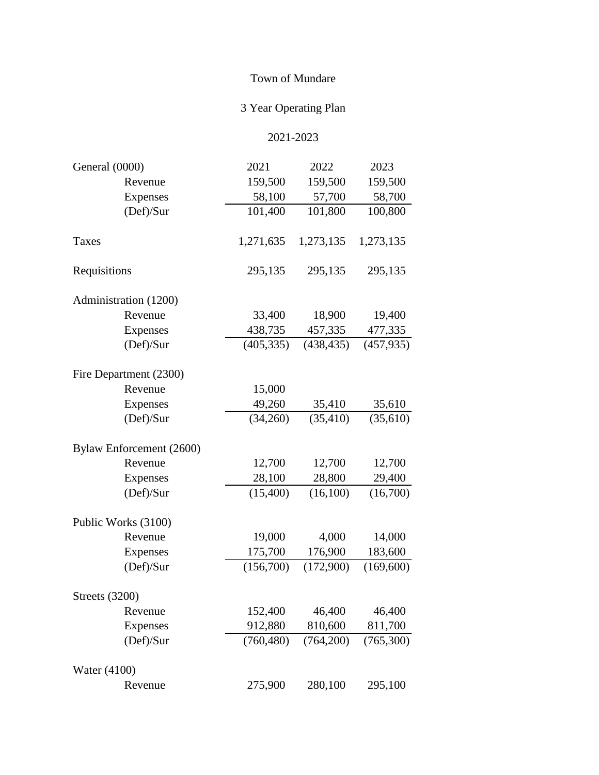## Town of Mundare

## 3 Year Operating Plan

## 2021-2023

| General (0000)           | 2021       | 2022       | 2023       |
|--------------------------|------------|------------|------------|
| Revenue                  | 159,500    | 159,500    | 159,500    |
| <b>Expenses</b>          | 58,100     | 57,700     | 58,700     |
| (Def)/Sur                | 101,400    | 101,800    | 100,800    |
| Taxes                    | 1,271,635  | 1,273,135  | 1,273,135  |
| Requisitions             | 295,135    | 295,135    | 295,135    |
| Administration (1200)    |            |            |            |
| Revenue                  | 33,400     | 18,900     | 19,400     |
| <b>Expenses</b>          | 438,735    | 457,335    | 477,335    |
| (Def)/Sur                | (405, 335) | (438, 435) | (457, 935) |
| Fire Department (2300)   |            |            |            |
| Revenue                  | 15,000     |            |            |
| Expenses                 | 49,260     | 35,410     | 35,610     |
| (Def)/Sur                | (34,260)   | (35, 410)  | (35, 610)  |
| Bylaw Enforcement (2600) |            |            |            |
| Revenue                  | 12,700     | 12,700     | 12,700     |
| <b>Expenses</b>          | 28,100     | 28,800     | 29,400     |
| (Def)/Sur                | (15,400)   | (16,100)   | (16,700)   |
| Public Works (3100)      |            |            |            |
| Revenue                  | 19,000     | 4,000      | 14,000     |
| <b>Expenses</b>          | 175,700    | 176,900    | 183,600    |
| (Def)/Sur                | (156,700)  | (172,900)  | (169,600)  |
| <b>Streets</b> (3200)    |            |            |            |
| Revenue                  | 152,400    | 46,400     | 46,400     |
| <b>Expenses</b>          | 912,880    | 810,600    | 811,700    |
| (Def)/Sur                | (760, 480) | (764,200)  | (765,300)  |
| <b>Water</b> (4100)      |            |            |            |
| Revenue                  | 275,900    | 280,100    | 295,100    |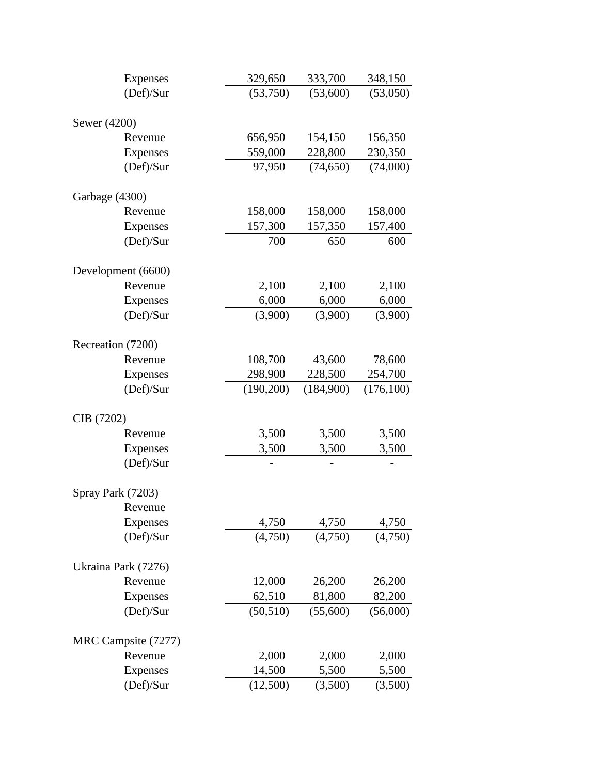| <b>Expenses</b>     | 329,650   | 333,700   | 348,150   |
|---------------------|-----------|-----------|-----------|
| (Def)/Sur           | (53,750)  | (53,600)  | (53,050)  |
| Sewer (4200)        |           |           |           |
| Revenue             | 656,950   | 154,150   | 156,350   |
| <b>Expenses</b>     | 559,000   | 228,800   | 230,350   |
| (Def)/Sur           | 97,950    | (74, 650) | (74,000)  |
| Garbage (4300)      |           |           |           |
| Revenue             | 158,000   | 158,000   | 158,000   |
| <b>Expenses</b>     | 157,300   | 157,350   | 157,400   |
| (Def)/Sur           | 700       | 650       | 600       |
| Development (6600)  |           |           |           |
| Revenue             | 2,100     | 2,100     | 2,100     |
| <b>Expenses</b>     | 6,000     | 6,000     | 6,000     |
| (Def)/Sur           | (3,900)   | (3,900)   | (3,900)   |
| Recreation (7200)   |           |           |           |
| Revenue             | 108,700   | 43,600    | 78,600    |
| <b>Expenses</b>     | 298,900   | 228,500   | 254,700   |
| (Def)/Sur           | (190,200) | (184,900) | (176,100) |
|                     |           |           |           |
| CIB (7202)          |           |           |           |
| Revenue             | 3,500     | 3,500     | 3,500     |
| <b>Expenses</b>     | 3,500     | 3,500     | 3,500     |
| (Def)/Sur           |           |           |           |
| Spray Park (7203)   |           |           |           |
| Revenue             |           |           |           |
| <b>Expenses</b>     | 4,750     | 4,750     | 4,750     |
| (Def)/Sur           | (4,750)   | (4,750)   | (4,750)   |
| Ukraina Park (7276) |           |           |           |
| Revenue             | 12,000    | 26,200    | 26,200    |
| <b>Expenses</b>     | 62,510    | 81,800    | 82,200    |
| (Def)/Sur           | (50, 510) | (55,600)  | (56,000)  |
| MRC Campsite (7277) |           |           |           |
| Revenue             | 2,000     | 2,000     | 2,000     |
| <b>Expenses</b>     | 14,500    | 5,500     | 5,500     |